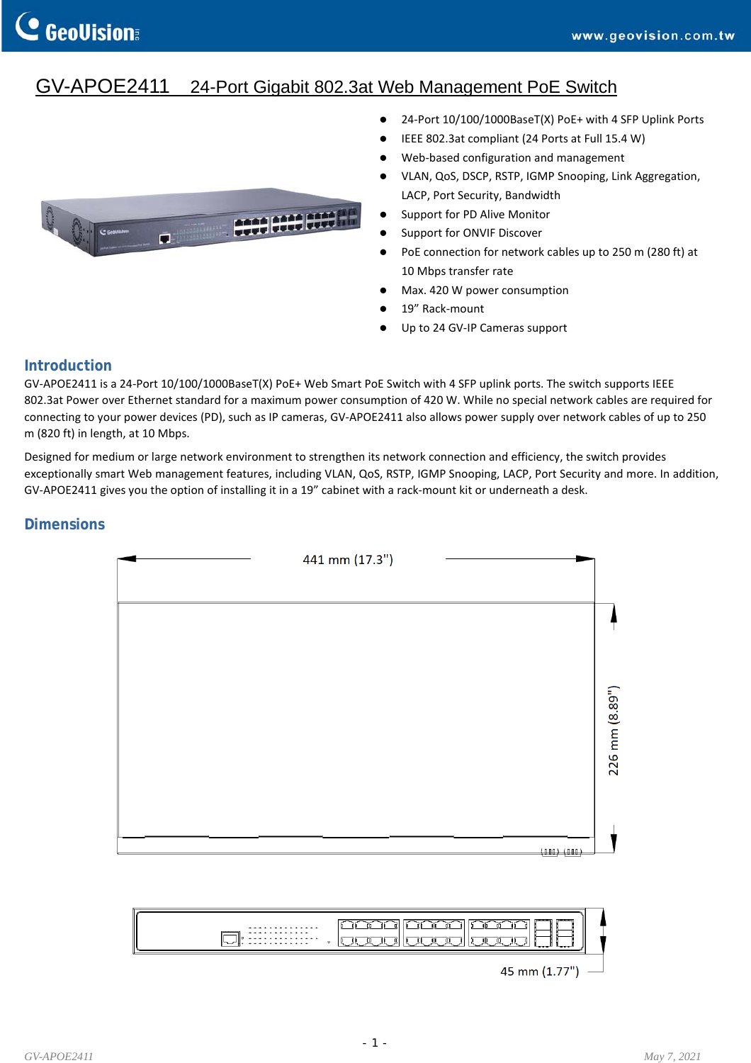# GV-APOE2411 24-Port Gigabit 802.3at Web Management PoE Switch



- 24-Port 10/100/1000BaseT(X) PoE+ with 4 SFP Uplink Ports
- IEEE 802.3at compliant (24 Ports at Full 15.4 W)
- Web-based configuration and management
- VLAN, QoS, DSCP, RSTP, IGMP Snooping, Link Aggregation, LACP, Port Security, Bandwidth
- Support for PD Alive Monitor
- **•** Support for ONVIF Discover
- PoE connection for network cables up to 250 m (280 ft) at 10 Mbps transfer rate
- Max. 420 W power consumption
- 19" Rack-mount
- Up to 24 GV‐IP Cameras support

## **Introduction**

GV‐APOE2411 is a 24‐Port 10/100/1000BaseT(X) PoE+ Web Smart PoE Switch with 4 SFP uplink ports. The switch supports IEEE 802.3at Power over Ethernet standard for a maximum power consumption of 420 W. While no special network cables are required for connecting to your power devices (PD), such as IP cameras, GV‐APOE2411 also allows power supply over network cables of up to 250 m (820 ft) in length, at 10 Mbps.

Designed for medium or large network environment to strengthen its network connection and efficiency, the switch provides exceptionally smart Web management features, including VLAN, QoS, RSTP, IGMP Snooping, LACP, Port Security and more. In addition, GV‐APOE2411 gives you the option of installing it in a 19" cabinet with a rack‐mount kit or underneath a desk.

## **Dimensions**

| 441 mm (17.3") |            |               |
|----------------|------------|---------------|
|                |            |               |
|                |            |               |
|                |            |               |
|                |            | 226 mm (8.89" |
|                |            |               |
|                | (000)(000) |               |

|--|

### $45 \text{ mm} (1.77")$  —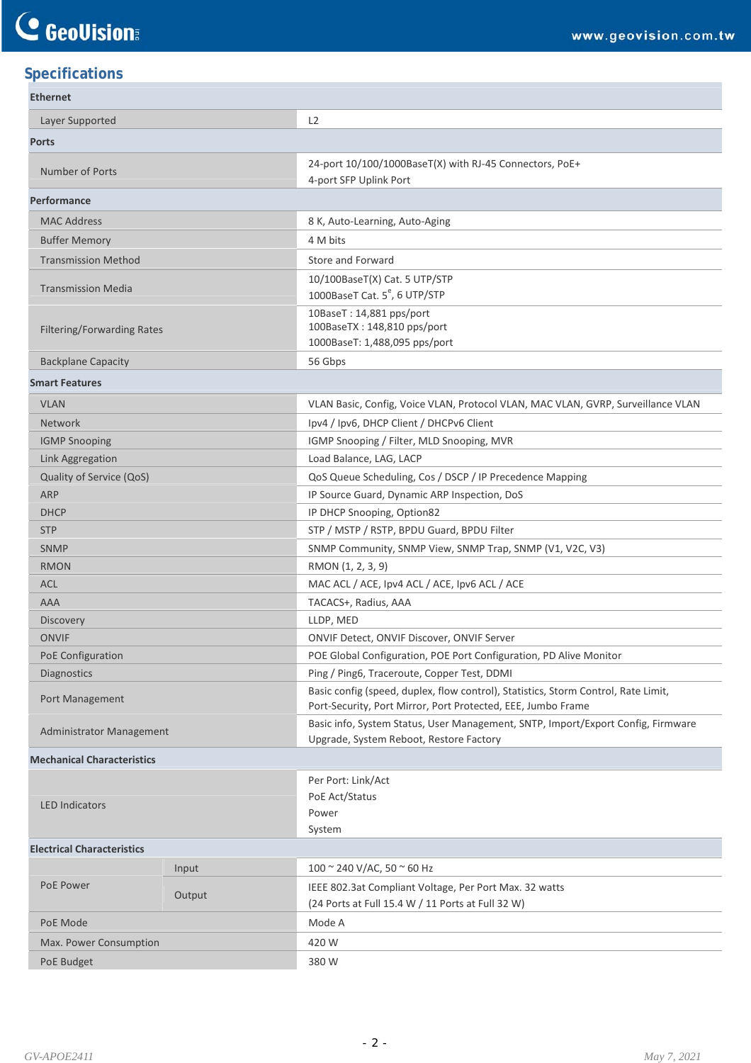## **Specifications**

| <b>Ethernet</b>                       |        |                                                                                                                                                    |
|---------------------------------------|--------|----------------------------------------------------------------------------------------------------------------------------------------------------|
| Layer Supported                       |        | L <sub>2</sub>                                                                                                                                     |
| <b>Ports</b>                          |        |                                                                                                                                                    |
| Number of Ports                       |        | 24-port 10/100/1000BaseT(X) with RJ-45 Connectors, PoE+<br>4-port SFP Uplink Port                                                                  |
| Performance                           |        |                                                                                                                                                    |
| <b>MAC Address</b>                    |        | 8 K, Auto-Learning, Auto-Aging                                                                                                                     |
| <b>Buffer Memory</b>                  |        | 4 M bits                                                                                                                                           |
| <b>Transmission Method</b>            |        | Store and Forward                                                                                                                                  |
| <b>Transmission Media</b>             |        | 10/100BaseT(X) Cat. 5 UTP/STP<br>1000BaseT Cat. 5 <sup>e</sup> , 6 UTP/STP                                                                         |
| <b>Filtering/Forwarding Rates</b>     |        | 10BaseT: 14,881 pps/port<br>100BaseTX: 148,810 pps/port                                                                                            |
|                                       |        | 1000BaseT: 1,488,095 pps/port                                                                                                                      |
| <b>Backplane Capacity</b>             |        | 56 Gbps                                                                                                                                            |
| <b>Smart Features</b>                 |        |                                                                                                                                                    |
| <b>VLAN</b>                           |        | VLAN Basic, Config, Voice VLAN, Protocol VLAN, MAC VLAN, GVRP, Surveillance VLAN                                                                   |
| <b>Network</b>                        |        | Ipv4 / Ipv6, DHCP Client / DHCPv6 Client                                                                                                           |
| <b>IGMP Snooping</b>                  |        | IGMP Snooping / Filter, MLD Snooping, MVR                                                                                                          |
| Link Aggregation                      |        | Load Balance, LAG, LACP                                                                                                                            |
| Quality of Service (QoS)              |        | QoS Queue Scheduling, Cos / DSCP / IP Precedence Mapping                                                                                           |
| <b>ARP</b>                            |        | IP Source Guard, Dynamic ARP Inspection, DoS                                                                                                       |
| <b>DHCP</b>                           |        | IP DHCP Snooping, Option82                                                                                                                         |
| <b>STP</b>                            |        | STP / MSTP / RSTP, BPDU Guard, BPDU Filter                                                                                                         |
| <b>SNMP</b>                           |        | SNMP Community, SNMP View, SNMP Trap, SNMP (V1, V2C, V3)                                                                                           |
| <b>RMON</b>                           |        | RMON (1, 2, 3, 9)                                                                                                                                  |
| ACL                                   |        | MAC ACL / ACE, Ipv4 ACL / ACE, Ipv6 ACL / ACE                                                                                                      |
| <b>AAA</b>                            |        | TACACS+, Radius, AAA                                                                                                                               |
| Discovery                             |        | LLDP, MED                                                                                                                                          |
| <b>ONVIF</b>                          |        | ONVIF Detect, ONVIF Discover, ONVIF Server                                                                                                         |
| PoE Configuration                     |        | POE Global Configuration, POE Port Configuration, PD Alive Monitor<br>Ping / Ping6, Traceroute, Copper Test, DDMI                                  |
| <b>Diagnostics</b><br>Port Management |        | Basic config (speed, duplex, flow control), Statistics, Storm Control, Rate Limit,<br>Port-Security, Port Mirror, Port Protected, EEE, Jumbo Frame |
| <b>Administrator Management</b>       |        | Basic info, System Status, User Management, SNTP, Import/Export Config, Firmware<br>Upgrade, System Reboot, Restore Factory                        |
| <b>Mechanical Characteristics</b>     |        |                                                                                                                                                    |
| <b>LED Indicators</b>                 |        | Per Port: Link/Act<br>PoE Act/Status<br>Power<br>System                                                                                            |
| <b>Electrical Characteristics</b>     |        |                                                                                                                                                    |
|                                       | Input  | 100 $\approx$ 240 V/AC, 50 $\approx$ 60 Hz                                                                                                         |
| PoE Power                             | Output | IEEE 802.3at Compliant Voltage, Per Port Max. 32 watts<br>(24 Ports at Full 15.4 W / 11 Ports at Full 32 W)                                        |
| PoE Mode                              |        | Mode A                                                                                                                                             |
| Max. Power Consumption                |        | 420 W                                                                                                                                              |
|                                       |        | 380W                                                                                                                                               |
| PoE Budget                            |        |                                                                                                                                                    |